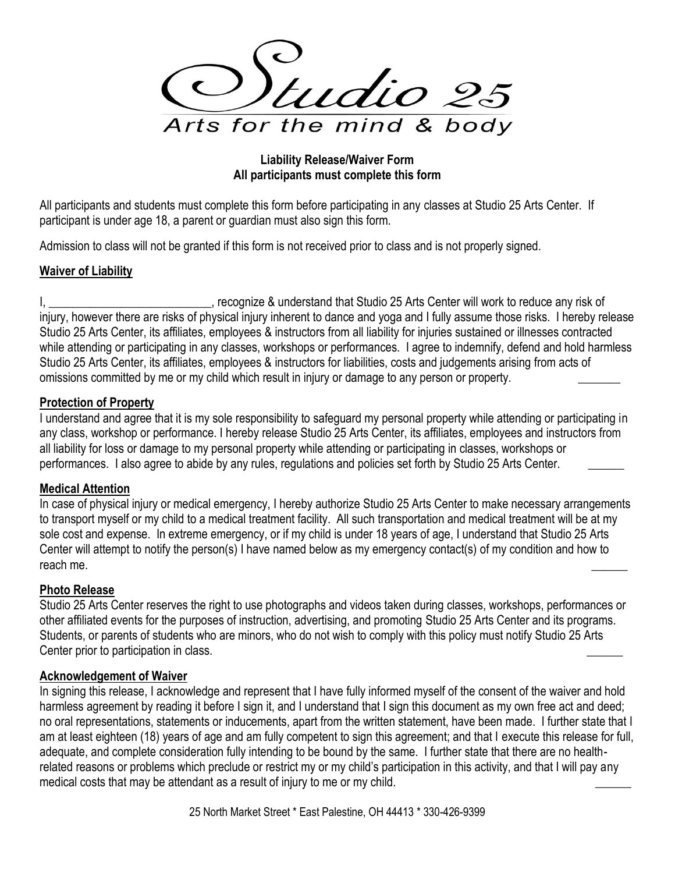tudio 25 Arts for the mind & body

#### **Liability Release/Waiver Form All participants must complete this form**

All participants and students must complete this form before participating in any classes at Studio 25 Arts Center. If participant is under age 18, a parent or guardian must also sign this form.

Admission to class will not be granted if this form is not received prior to class and is not properly signed.

# **Waiver of Liability**

I, Letter London London Communicaters and that Studio 25 Arts Center will work to reduce any risk of injury, however there are risks of physical injury inherent to dance and yoga and I fully assume those risks. I hereby release Studio 25 Arts Center, its affiliates, employees & instructors from all liability for injuries sustained or illnesses contracted while attending or participating in any classes, workshops or performances. I agree to indemnify, defend and hold harmless Studio 25 Arts Center, its affiliates, employees & instructors for liabilities, costs and judgements arising from acts of omissions committed by me or my child which result in injury or damage to any person or property.

## **Protection of Property**

I understand and agree that it is my sole responsibility to safeguard my personal property while attending or participating in any class, workshop or performance. I hereby release Studio 25 Arts Center, its affiliates, employees and instructors from all liability for loss or damage to my personal property while attending or participating in classes, workshops or performances. I also agree to abide by any rules, regulations and policies set forth by Studio 25 Arts Center.

## **Medical Attention**

In case of physical injury or medical emergency, I hereby authorize Studio 25 Arts Center to make necessary arrangements to transport myself or my child to a medical treatment facility. All such transportation and medical treatment will be at my sole cost and expense. In extreme emergency, or if my child is under 18 years of age, I understand that Studio 25 Arts Center will attempt to notify the person(s) I have named below as my emergency contact(s) of my condition and how to reach me.

## **Photo Release**

Studio 25 Arts Center reserves the right to use photographs and videos taken during classes, workshops, performances or other affiliated events for the purposes of instruction, advertising, and promoting Studio 25 Arts Center and its programs. Students, or parents of students who are minors, who do not wish to comply with this policy must notify Studio 25 Arts Center prior to participation in class.

#### **Acknowledgement of Waiver**

In signing this release, I acknowledge and represent that I have fully informed myself of the consent of the waiver and hold harmless agreement by reading it before I sign it, and I understand that I sign this document as my own free act and deed; no oral representations, statements or inducements, apart from the written statement, have been made. I further state that I am at least eighteen (18) years of age and am fully competent to sign this agreement; and that I execute this release for full, adequate, and complete consideration fully intending to be bound by the same. I further state that there are no healthrelated reasons or problems which preclude or restrict my or my child's participation in this activity, and that I will pay any medical costs that may be attendant as a result of injury to me or my child.